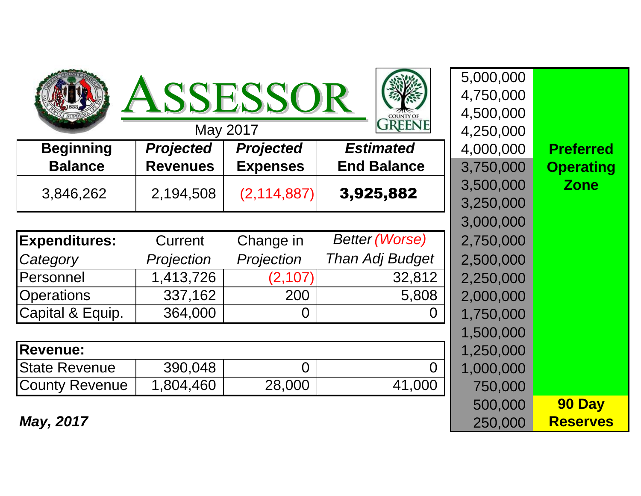|                       |                  | <b>ISSESSOR</b><br>May 2017 | <b>COUNTY OF</b><br><b>JREENE</b> | 5,000,000<br>4,750,000<br>4,500,000<br>4,250,000 |                  |
|-----------------------|------------------|-----------------------------|-----------------------------------|--------------------------------------------------|------------------|
| <b>Beginning</b>      | <b>Projected</b> | <b>Projected</b>            | <b>Estimated</b>                  | 4,000,000                                        | <b>Preferred</b> |
| <b>Balance</b>        | <b>Revenues</b>  | <b>Expenses</b>             | <b>End Balance</b>                | 3,750,000                                        | <b>Operating</b> |
| 3,846,262             | 2,194,508        | (2, 114, 887)               | 3,925,882                         | 3,500,000                                        | <b>Zone</b>      |
|                       |                  |                             |                                   | 3,250,000                                        |                  |
|                       |                  |                             |                                   | 3,000,000                                        |                  |
| <b>Expenditures:</b>  | Current          | Change in                   | <b>Better (Worse)</b>             | 2,750,000                                        |                  |
| Category              | Projection       | Projection                  | Than Adj Budget                   | 2,500,000                                        |                  |
| Personnel             | 1,413,726        | (2, 107)                    | 32,812                            | 2,250,000                                        |                  |
| <b>Operations</b>     | 337,162          | 200                         | 5,808                             | 2,000,000                                        |                  |
| Capital & Equip.      | 364,000          | 0                           | $\Omega$                          | 1,750,000                                        |                  |
|                       |                  |                             |                                   | 1,500,000                                        |                  |
| <b>Revenue:</b>       |                  |                             |                                   | 1,250,000                                        |                  |
| <b>State Revenue</b>  | 390,048          | $\overline{0}$              |                                   | 1,000,000                                        |                  |
| <b>County Revenue</b> | 1,804,460        | 28,000                      | 41,000                            | 750,000                                          |                  |
|                       |                  |                             |                                   | 500,000                                          | 90 Day           |
| May, 2017             |                  |                             |                                   | 250,000                                          | <b>Reserves</b>  |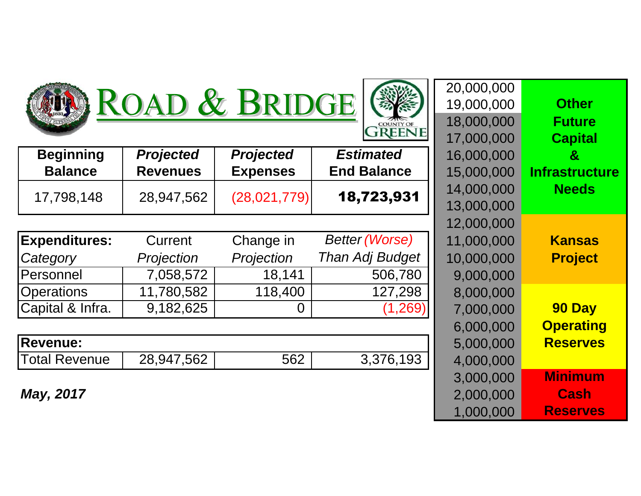





| <b>Beginning</b> | <b>Projected</b> | <b>Projected</b> | <b>Estimated</b>   | 16,000,000 |
|------------------|------------------|------------------|--------------------|------------|
| <b>Balance</b>   | <b>Revenues</b>  | <b>Expenses</b>  | <b>End Balance</b> | 15,000,000 |
| 17,798,148       | 28,947,562       | (28,021,779)     | 18,723,931         | 14,000,000 |
|                  |                  |                  |                    | 13,000,000 |
|                  |                  |                  |                    | 12,000,000 |

| <b>Expenditures:</b> | Current    | Change in  | <b>Better (Worse)</b>  | 11,000,000 |
|----------------------|------------|------------|------------------------|------------|
| Category             | Projection | Projection | <b>Than Adj Budget</b> | 10,000,000 |
| Personnel            | 7,058,572  | 18.141     | 506,780                | 9,000,000  |
| <b>Operations</b>    | 11,780,582 | 118,400    | 127,298                | 8,000,000  |
| Capital & Infra.     | 9,182,625  |            | (1, 269)               | 7,000,000  |

| <b>Revenue:</b>      | 5,000,000  |     |           |           |
|----------------------|------------|-----|-----------|-----------|
| <b>Total Revenue</b> | 28,947,562 | 562 | 3,376,193 | 4,000,000 |

**May, 2017**

| <b>Other</b>                                     | 20,000,000<br>19,000,000                            | ROAD & BRIDGE                                       |                                     |                                     |                |  |  |
|--------------------------------------------------|-----------------------------------------------------|-----------------------------------------------------|-------------------------------------|-------------------------------------|----------------|--|--|
| <b>Future</b><br><b>Capital</b>                  | 18,000,000<br>17,000,000                            | <b>COUNTY OI</b><br><b>GREENE</b>                   |                                     |                                     |                |  |  |
| $\mathbf{g}$<br><b>Infrastructure</b>            | 16,000,000<br>15,000,000                            | <b>Estimated</b><br><b>End Balance</b>              | <b>Projected</b><br><b>Expenses</b> | <b>Projected</b><br><b>Revenues</b> | ning<br>nce    |  |  |
| <b>Needs</b>                                     | 14,000,000<br>13,000,000                            | 18,723,931                                          | (28,021,779)                        | 28,947,562                          | ,148           |  |  |
| <b>Kansas</b><br><b>Project</b>                  | 12,000,000<br>11,000,000<br>10,000,000<br>9,000,000 | <b>Better (Worse)</b><br>Than Adj Budget<br>506,780 | Change in<br>Projection<br>18,141   | Current<br>Projection<br>7,058,572  | ures:          |  |  |
| 90 Day<br><b>Operating</b>                       | 8,000,000<br>7,000,000<br>6,000,000                 | 127,298<br>(1, 269)                                 | 118,400<br>0                        | 11,780,582<br>9,182,625             | ۱S<br>Infra.   |  |  |
| <b>Reserves</b>                                  | 5,000,000<br>4,000,000                              | 3,376,193                                           | 562                                 | 28,947,562                          | enue           |  |  |
| <b>Minimum</b><br><b>Cash</b><br><b>Reserves</b> | 3,000,000<br>2,000,000<br>1,000,000                 |                                                     |                                     |                                     | $\overline{7}$ |  |  |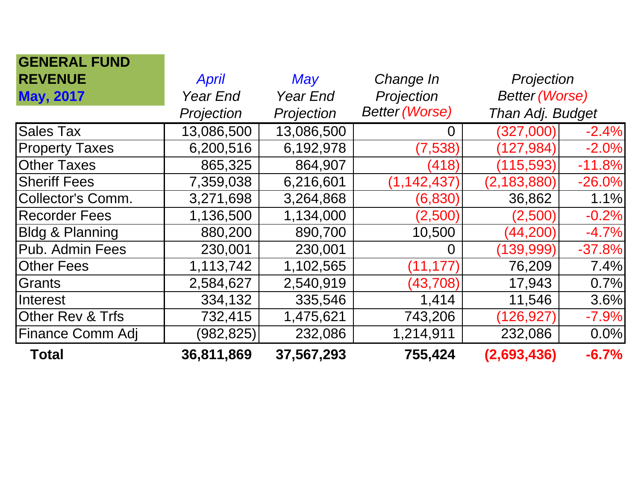| <b>GENERAL FUND</b>         |                 |            |                       |                       |          |
|-----------------------------|-----------------|------------|-----------------------|-----------------------|----------|
| <b>REVENUE</b>              | <b>April</b>    | May        | Change In             | Projection            |          |
| <b>May, 2017</b>            | <b>Year End</b> | Year End   | Projection            | <b>Better (Worse)</b> |          |
|                             | Projection      | Projection | <b>Better (Worse)</b> | Than Adj. Budget      |          |
| <b>Sales Tax</b>            | 13,086,500      | 13,086,500 | 0                     | (327,000)             | $-2.4%$  |
| <b>Property Taxes</b>       | 6,200,516       | 6,192,978  | (7,538)               | (127, 984)            | $-2.0%$  |
| <b>Other Taxes</b>          | 865,325         | 864,907    | (418)                 | (115, 593)            | $-11.8%$ |
| <b>Sheriff Fees</b>         | 7,359,038       | 6,216,601  | (1, 142, 437)         | (2, 183, 880)         | $-26.0%$ |
| <b>Collector's Comm.</b>    | 3,271,698       | 3,264,868  | (6,830)               | 36,862                | 1.1%     |
| <b>Recorder Fees</b>        | 1,136,500       | 1,134,000  | (2,500)               | (2,500)               | $-0.2%$  |
| <b>Bldg &amp; Planning</b>  | 880,200         | 890,700    | 10,500                | (44, 200)             | $-4.7%$  |
| Pub. Admin Fees             | 230,001         | 230,001    | 0                     | (139, 999)            | $-37.8%$ |
| <b>Other Fees</b>           | 1,113,742       | 1,102,565  | (11, 177)             | 76,209                | 7.4%     |
| Grants                      | 2,584,627       | 2,540,919  | (43, 708)             | 17,943                | 0.7%     |
| Interest                    | 334,132         | 335,546    | 1,414                 | 11,546                | 3.6%     |
| <b>Other Rev &amp; Trfs</b> | 732,415         | 1,475,621  | 743,206               | 126,927               | $-7.9%$  |
| <b>Finance Comm Adj</b>     | (982,825)       | 232,086    | 1,214,911             | 232,086               | 0.0%     |
| <b>Total</b>                | 36,811,869      | 37,567,293 | 755,424               | (2,693,436)           | $-6.7%$  |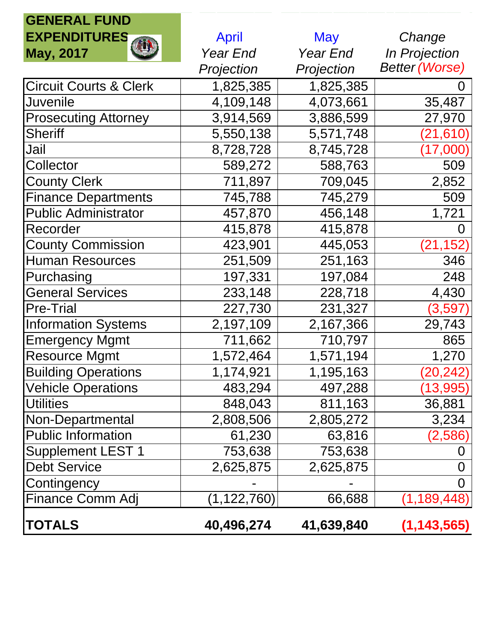## **GENERAL FUND**

| <b>EXPENDITURES</b>               | <b>April</b> | <b>May</b> | Change                   |
|-----------------------------------|--------------|------------|--------------------------|
| <b>May, 2017</b>                  | Year End     | Year End   | <b>In Projection</b>     |
|                                   | Projection   | Projection | <b>Better (Worse)</b>    |
| <b>Circuit Courts &amp; Clerk</b> | 1,825,385    | 1,825,385  |                          |
| <b>Juvenile</b>                   | 4,109,148    | 4,073,661  | 35,487                   |
| <b>Prosecuting Attorney</b>       | 3,914,569    | 3,886,599  | 27,970                   |
| <b>Sheriff</b>                    | 5,550,138    | 5,571,748  | $\left( 21,\!610\right)$ |
| Jail                              | 8,728,728    | 8,745,728  | $(17,\!000)$             |
| Collector                         | 589,272      | 588,763    | 509                      |
| <b>County Clerk</b>               | 711,897      | 709,045    | 2,852                    |
| <b>Finance Departments</b>        | 745,788      | 745,279    | 509                      |
| <b>Public Administrator</b>       | 457,870      | 456,148    | 1,721                    |
| Recorder                          | 415,878      | 415,878    | 0                        |
| <b>County Commission</b>          | 423,901      | 445,053    | (21, 152)                |
| <b>Human Resources</b>            | 251,509      | 251,163    | 346                      |
| Purchasing                        | 197,331      | 197,084    | 248                      |
| <b>General Services</b>           | 233,148      | 228,718    | 4,430                    |
| <b>Pre-Trial</b>                  | 227,730      | 231,327    | (3,597)                  |
| <b>Information Systems</b>        | 2,197,109    | 2,167,366  | 29,743                   |
| <b>Emergency Mgmt</b>             | 711,662      | 710,797    | 865                      |
| <b>Resource Mgmt</b>              | 1,572,464    | 1,571,194  | 1,270                    |
| <b>Building Operations</b>        | 1,174,921    | 1,195,163  | $\left( 20, 242\right)$  |
| <b>Vehicle Operations</b>         | 483,294      | 497,288    | (13,995)                 |
| <b>Utilities</b>                  | 848,043      | 811,163    | 36,881                   |
| Non-Departmental                  | 2,808,506    | 2,805,272  | 3,234                    |
| <b>Public Information</b>         | 61,230       | 63,816     | (2,586                   |
| <b>Supplement LEST 1</b>          | 753,638      | 753,638    | O                        |
| <b>Debt Service</b>               | 2,625,875    | 2,625,875  | 0                        |
| Contingency                       |              |            | 0                        |
| Finance Comm Adj                  | (1,122,760)  | 66,688     | (1, 189, 448)            |
| TOTALS                            | 40,496,274   | 41,639,840 | (1, 143, 565)            |